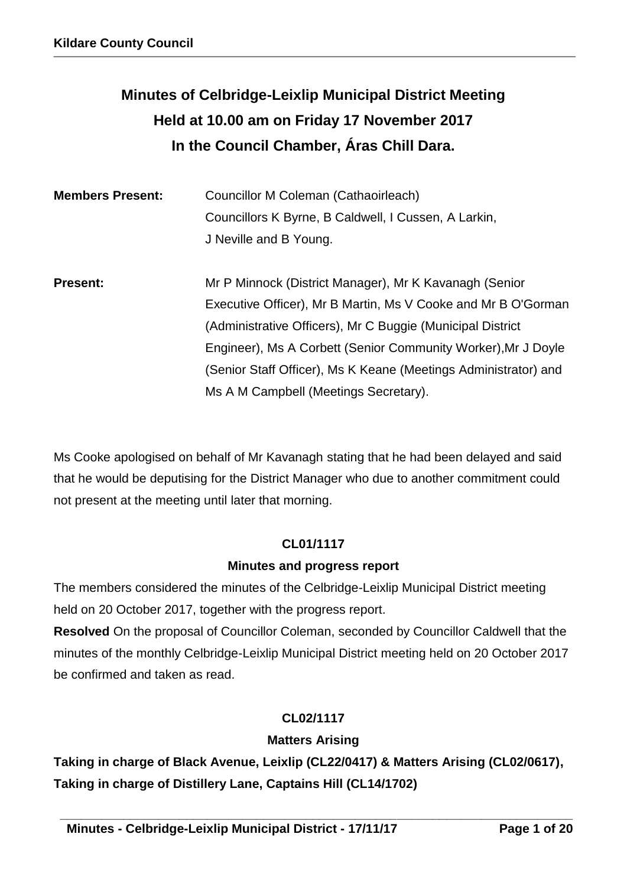# **Minutes of Celbridge-Leixlip Municipal District Meeting Held at 10.00 am on Friday 17 November 2017 In the Council Chamber, Áras Chill Dara.**

| <b>Members Present:</b> | Councillor M Coleman (Cathaoirleach)                            |
|-------------------------|-----------------------------------------------------------------|
|                         | Councillors K Byrne, B Caldwell, I Cussen, A Larkin,            |
|                         | J Neville and B Young.                                          |
|                         |                                                                 |
| <b>Present:</b>         | Mr P Minnock (District Manager), Mr K Kavanagh (Senior          |
|                         | Executive Officer), Mr B Martin, Ms V Cooke and Mr B O'Gorman   |
|                         | (Administrative Officers), Mr C Buggie (Municipal District)     |
|                         | Engineer), Ms A Corbett (Senior Community Worker), Mr J Doyle   |
|                         | (Senior Staff Officer), Ms K Keane (Meetings Administrator) and |
|                         | Ms A M Campbell (Meetings Secretary).                           |

Ms Cooke apologised on behalf of Mr Kavanagh stating that he had been delayed and said that he would be deputising for the District Manager who due to another commitment could not present at the meeting until later that morning.

# **CL01/1117**

# **Minutes and progress report**

The members considered the minutes of the Celbridge-Leixlip Municipal District meeting held on 20 October 2017, together with the progress report.

**Resolved** On the proposal of Councillor Coleman, seconded by Councillor Caldwell that the minutes of the monthly Celbridge-Leixlip Municipal District meeting held on 20 October 2017 be confirmed and taken as read.

# **CL02/1117**

# **Matters Arising**

**Taking in charge of Black Avenue, Leixlip (CL22/0417) & Matters Arising (CL02/0617), Taking in charge of Distillery Lane, Captains Hill (CL14/1702)**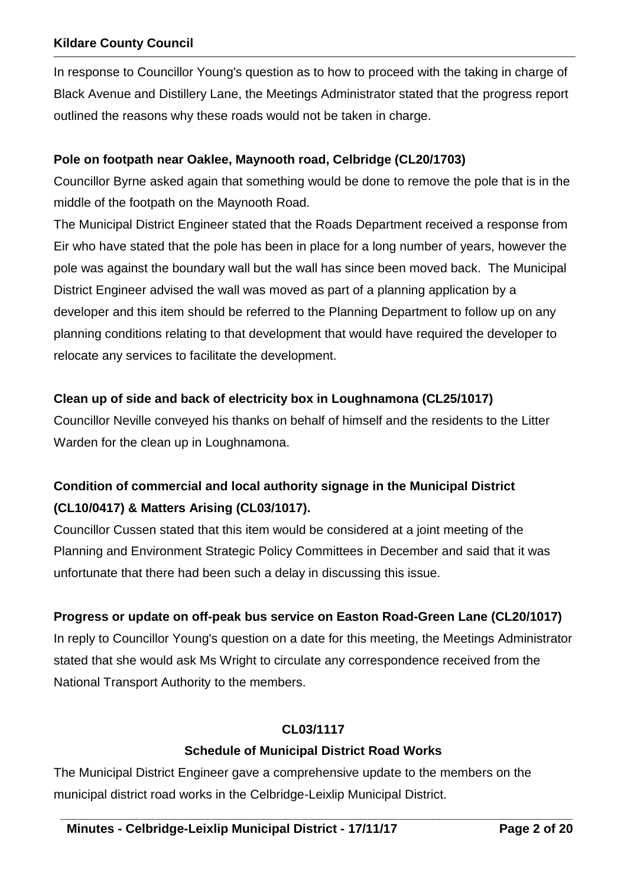In response to Councillor Young's question as to how to proceed with the taking in charge of Black Avenue and Distillery Lane, the Meetings Administrator stated that the progress report outlined the reasons why these roads would not be taken in charge.

# **Pole on footpath near Oaklee, Maynooth road, Celbridge (CL20/1703)**

Councillor Byrne asked again that something would be done to remove the pole that is in the middle of the footpath on the Maynooth Road.

The Municipal District Engineer stated that the Roads Department received a response from Eir who have stated that the pole has been in place for a long number of years, however the pole was against the boundary wall but the wall has since been moved back. The Municipal District Engineer advised the wall was moved as part of a planning application by a developer and this item should be referred to the Planning Department to follow up on any planning conditions relating to that development that would have required the developer to relocate any services to facilitate the development.

# **Clean up of side and back of electricity box in Loughnamona (CL25/1017)**

Councillor Neville conveyed his thanks on behalf of himself and the residents to the Litter Warden for the clean up in Loughnamona.

# **Condition of commercial and local authority signage in the Municipal District (CL10/0417) & Matters Arising (CL03/1017).**

Councillor Cussen stated that this item would be considered at a joint meeting of the Planning and Environment Strategic Policy Committees in December and said that it was unfortunate that there had been such a delay in discussing this issue.

# **Progress or update on off-peak bus service on Easton Road-Green Lane (CL20/1017)**

In reply to Councillor Young's question on a date for this meeting, the Meetings Administrator stated that she would ask Ms Wright to circulate any correspondence received from the National Transport Authority to the members.

# **CL03/1117**

# **Schedule of Municipal District Road Works**

**\_\_\_\_\_\_\_\_\_\_\_\_\_\_\_\_\_\_\_\_\_\_\_\_\_\_\_\_\_\_\_\_\_\_\_\_\_\_\_\_\_\_\_\_\_\_\_\_\_\_\_\_\_\_\_\_\_\_\_\_\_\_\_\_\_\_\_\_\_\_\_\_\_** 

The Municipal District Engineer gave a comprehensive update to the members on the municipal district road works in the Celbridge-Leixlip Municipal District.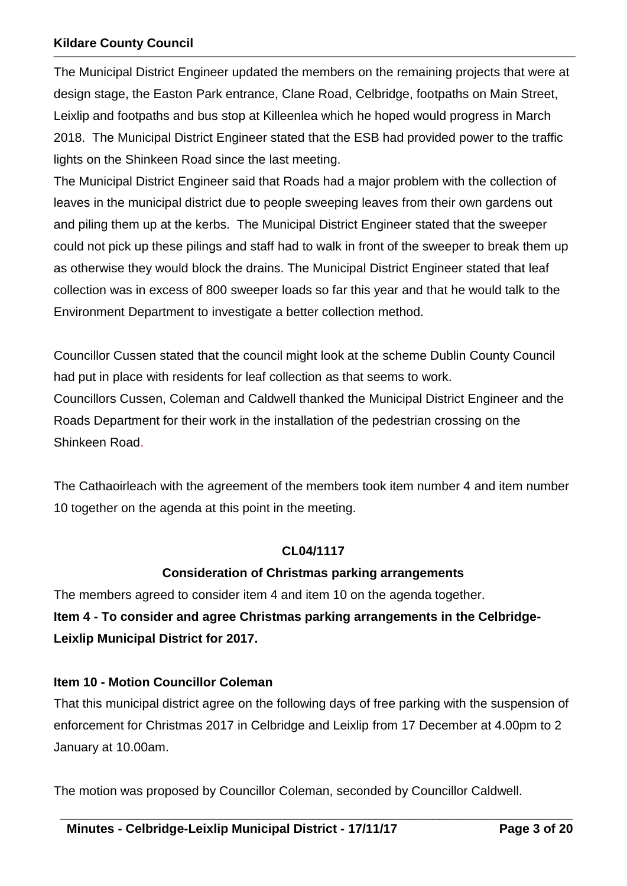The Municipal District Engineer updated the members on the remaining projects that were at design stage, the Easton Park entrance, Clane Road, Celbridge, footpaths on Main Street, Leixlip and footpaths and bus stop at Killeenlea which he hoped would progress in March 2018. The Municipal District Engineer stated that the ESB had provided power to the traffic lights on the Shinkeen Road since the last meeting.

The Municipal District Engineer said that Roads had a major problem with the collection of leaves in the municipal district due to people sweeping leaves from their own gardens out and piling them up at the kerbs. The Municipal District Engineer stated that the sweeper could not pick up these pilings and staff had to walk in front of the sweeper to break them up as otherwise they would block the drains. The Municipal District Engineer stated that leaf collection was in excess of 800 sweeper loads so far this year and that he would talk to the Environment Department to investigate a better collection method.

Councillor Cussen stated that the council might look at the scheme Dublin County Council had put in place with residents for leaf collection as that seems to work. Councillors Cussen, Coleman and Caldwell thanked the Municipal District Engineer and the Roads Department for their work in the installation of the pedestrian crossing on the Shinkeen Road.

The Cathaoirleach with the agreement of the members took item number 4 and item number 10 together on the agenda at this point in the meeting.

#### **CL04/1117**

#### **Consideration of Christmas parking arrangements**

The members agreed to consider item 4 and item 10 on the agenda together. **Item 4 - To consider and agree Christmas parking arrangements in the Celbridge-Leixlip Municipal District for 2017.**

# **Item 10 - Motion Councillor Coleman**

That this municipal district agree on the following days of free parking with the suspension of enforcement for Christmas 2017 in Celbridge and Leixlip from 17 December [at 4.00pm to 2](x-apple-data-detectors://0/) [January at 10.00am.](x-apple-data-detectors://0/)

**\_\_\_\_\_\_\_\_\_\_\_\_\_\_\_\_\_\_\_\_\_\_\_\_\_\_\_\_\_\_\_\_\_\_\_\_\_\_\_\_\_\_\_\_\_\_\_\_\_\_\_\_\_\_\_\_\_\_\_\_\_\_\_\_\_\_\_\_\_\_\_\_\_** 

The motion was proposed by Councillor Coleman, seconded by Councillor Caldwell.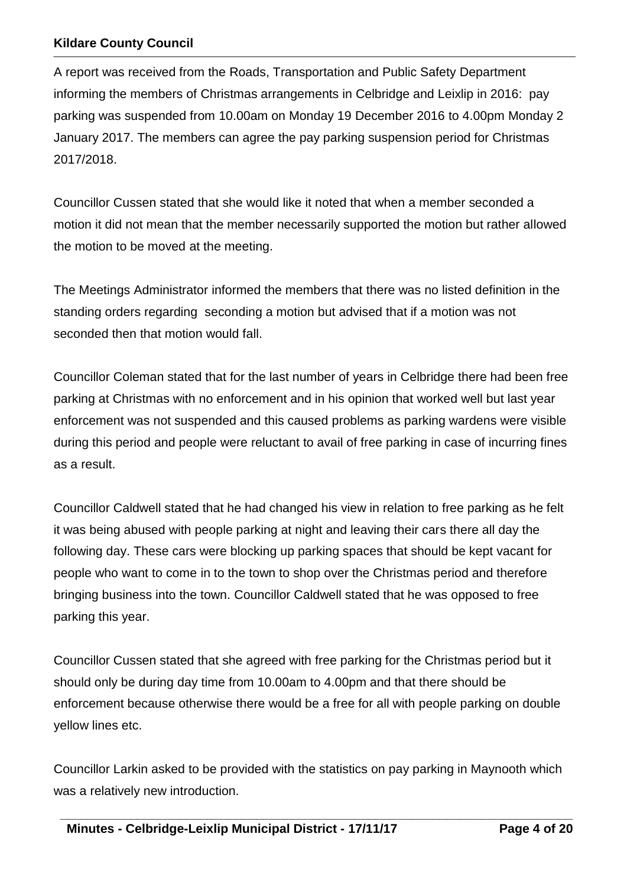A report was received from the Roads, Transportation and Public Safety Department informing the members of Christmas arrangements in Celbridge and Leixlip in 2016: pay parking was suspended from 10.00am on Monday 19 December 2016 to 4.00pm Monday 2 January 2017. The members can agree the pay parking suspension period for Christmas 2017/2018.

Councillor Cussen stated that she would like it noted that when a member seconded a motion it did not mean that the member necessarily supported the motion but rather allowed the motion to be moved at the meeting.

The Meetings Administrator informed the members that there was no listed definition in the standing orders regarding seconding a motion but advised that if a motion was not seconded then that motion would fall.

Councillor Coleman stated that for the last number of years in Celbridge there had been free parking at Christmas with no enforcement and in his opinion that worked well but last year enforcement was not suspended and this caused problems as parking wardens were visible during this period and people were reluctant to avail of free parking in case of incurring fines as a result.

Councillor Caldwell stated that he had changed his view in relation to free parking as he felt it was being abused with people parking at night and leaving their cars there all day the following day. These cars were blocking up parking spaces that should be kept vacant for people who want to come in to the town to shop over the Christmas period and therefore bringing business into the town. Councillor Caldwell stated that he was opposed to free parking this year.

Councillor Cussen stated that she agreed with free parking for the Christmas period but it should only be during day time from 10.00am to 4.00pm and that there should be enforcement because otherwise there would be a free for all with people parking on double yellow lines etc.

Councillor Larkin asked to be provided with the statistics on pay parking in Maynooth which was a relatively new introduction.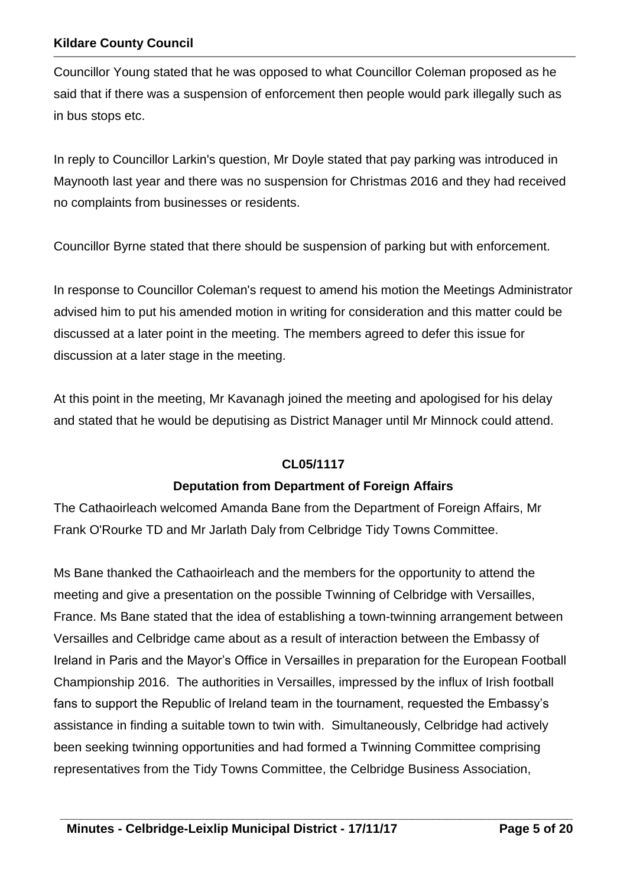Councillor Young stated that he was opposed to what Councillor Coleman proposed as he said that if there was a suspension of enforcement then people would park illegally such as in bus stops etc.

In reply to Councillor Larkin's question, Mr Doyle stated that pay parking was introduced in Maynooth last year and there was no suspension for Christmas 2016 and they had received no complaints from businesses or residents.

Councillor Byrne stated that there should be suspension of parking but with enforcement.

In response to Councillor Coleman's request to amend his motion the Meetings Administrator advised him to put his amended motion in writing for consideration and this matter could be discussed at a later point in the meeting. The members agreed to defer this issue for discussion at a later stage in the meeting.

At this point in the meeting, Mr Kavanagh joined the meeting and apologised for his delay and stated that he would be deputising as District Manager until Mr Minnock could attend.

# **CL05/1117**

# **Deputation from Department of Foreign Affairs**

The Cathaoirleach welcomed Amanda Bane from the Department of Foreign Affairs, Mr Frank O'Rourke TD and Mr Jarlath Daly from Celbridge Tidy Towns Committee.

Ms Bane thanked the Cathaoirleach and the members for the opportunity to attend the meeting and give a presentation on the possible Twinning of Celbridge with Versailles, France. Ms Bane stated that the idea of establishing a town-twinning arrangement between Versailles and Celbridge came about as a result of interaction between the Embassy of Ireland in Paris and the Mayor's Office in Versailles in preparation for the European Football Championship 2016. The authorities in Versailles, impressed by the influx of Irish football fans to support the Republic of Ireland team in the tournament, requested the Embassy's assistance in finding a suitable town to twin with. Simultaneously, Celbridge had actively been seeking twinning opportunities and had formed a Twinning Committee comprising representatives from the Tidy Towns Committee, the Celbridge Business Association,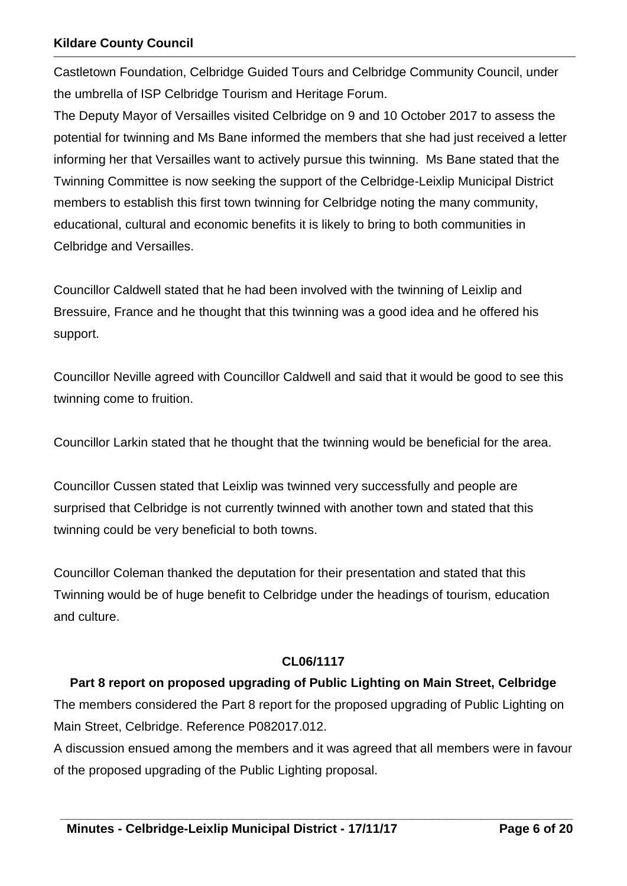Castletown Foundation, Celbridge Guided Tours and Celbridge Community Council, under the umbrella of ISP Celbridge Tourism and Heritage Forum.

The Deputy Mayor of Versailles visited Celbridge on 9 and 10 October 2017 to assess the potential for twinning and Ms Bane informed the members that she had just received a letter informing her that Versailles want to actively pursue this twinning. Ms Bane stated that the Twinning Committee is now seeking the support of the Celbridge-Leixlip Municipal District members to establish this first town twinning for Celbridge noting the many community, educational, cultural and economic benefits it is likely to bring to both communities in Celbridge and Versailles.

Councillor Caldwell stated that he had been involved with the twinning of Leixlip and Bressuire, France and he thought that this twinning was a good idea and he offered his support.

Councillor Neville agreed with Councillor Caldwell and said that it would be good to see this twinning come to fruition.

Councillor Larkin stated that he thought that the twinning would be beneficial for the area.

Councillor Cussen stated that Leixlip was twinned very successfully and people are surprised that Celbridge is not currently twinned with another town and stated that this twinning could be very beneficial to both towns.

Councillor Coleman thanked the deputation for their presentation and stated that this Twinning would be of huge benefit to Celbridge under the headings of tourism, education and culture.

#### **CL06/1117**

#### **Part 8 report on proposed upgrading of Public Lighting on Main Street, Celbridge**

The members considered the Part 8 report for the proposed upgrading of Public Lighting on Main Street, Celbridge. Reference P082017.012.

A discussion ensued among the members and it was agreed that all members were in favour of the proposed upgrading of the Public Lighting proposal.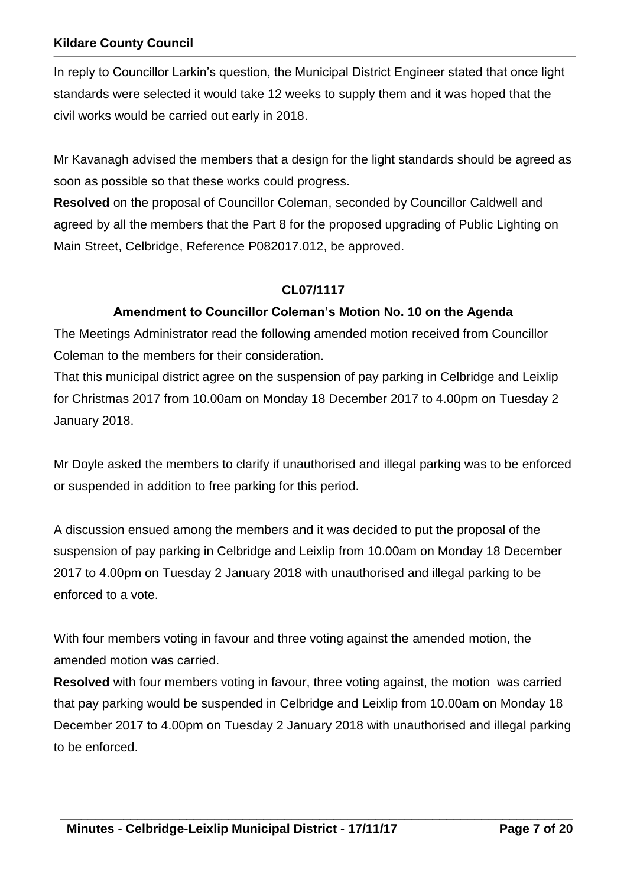In reply to Councillor Larkin's question, the Municipal District Engineer stated that once light standards were selected it would take 12 weeks to supply them and it was hoped that the civil works would be carried out early in 2018.

Mr Kavanagh advised the members that a design for the light standards should be agreed as soon as possible so that these works could progress.

**Resolved** on the proposal of Councillor Coleman, seconded by Councillor Caldwell and agreed by all the members that the Part 8 for the proposed upgrading of Public Lighting on Main Street, Celbridge, Reference P082017.012, be approved.

# **CL07/1117**

# **Amendment to Councillor Coleman's Motion No. 10 on the Agenda**

The Meetings Administrator read the following amended motion received from Councillor Coleman to the members for their consideration.

That this municipal district agree on the suspension of pay parking in Celbridge and Leixlip for Christmas 2017 from 10.00am on Monday 18 December 2017 to 4.00pm on Tuesday 2 January 2018.

Mr Doyle asked the members to clarify if unauthorised and illegal parking was to be enforced or suspended in addition to free parking for this period.

A discussion ensued among the members and it was decided to put the proposal of the suspension of pay parking in Celbridge and Leixlip from 10.00am on Monday 18 December 2017 to 4.00pm on Tuesday 2 January 2018 with unauthorised and illegal parking to be enforced to a vote.

With four members voting in favour and three voting against the amended motion, the amended motion was carried.

**Resolved** with four members voting in favour, three voting against, the motion was carried that pay parking would be suspended in Celbridge and Leixlip from 10.00am on Monday 18 December 2017 to 4.00pm on Tuesday 2 January 2018 with unauthorised and illegal parking to be enforced.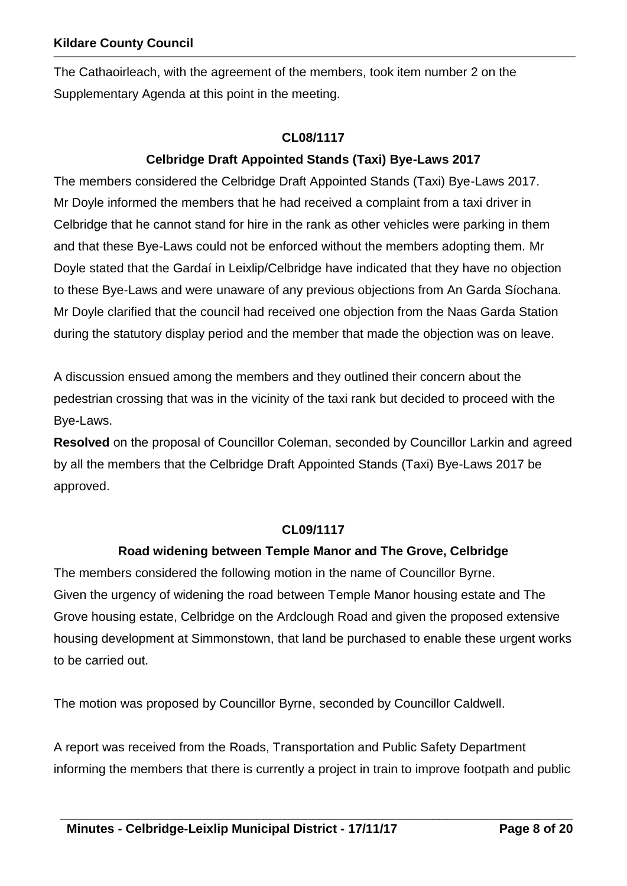The Cathaoirleach, with the agreement of the members, took item number 2 on the Supplementary Agenda at this point in the meeting.

#### **CL08/1117**

# **Celbridge Draft Appointed Stands (Taxi) Bye-Laws 2017**

The members considered the Celbridge Draft Appointed Stands (Taxi) Bye-Laws 2017. Mr Doyle informed the members that he had received a complaint from a taxi driver in Celbridge that he cannot stand for hire in the rank as other vehicles were parking in them and that these Bye-Laws could not be enforced without the members adopting them. Mr Doyle stated that the Gardaí in Leixlip/Celbridge have indicated that they have no objection to these Bye-Laws and were unaware of any previous objections from An Garda Síochana. Mr Doyle clarified that the council had received one objection from the Naas Garda Station during the statutory display period and the member that made the objection was on leave.

A discussion ensued among the members and they outlined their concern about the pedestrian crossing that was in the vicinity of the taxi rank but decided to proceed with the Bye-Laws.

**Resolved** on the proposal of Councillor Coleman, seconded by Councillor Larkin and agreed by all the members that the Celbridge Draft Appointed Stands (Taxi) Bye-Laws 2017 be approved.

#### **CL09/1117**

#### **Road widening between Temple Manor and The Grove, Celbridge**

The members considered the following motion in the name of Councillor Byrne. Given the urgency of widening the road between Temple Manor housing estate and The Grove housing estate, Celbridge on the Ardclough Road and given the proposed extensive housing development at Simmonstown, that land be purchased to enable these urgent works to be carried out.

The motion was proposed by Councillor Byrne, seconded by Councillor Caldwell.

A report was received from the Roads, Transportation and Public Safety Department informing the members that there is currently a project in train to improve footpath and public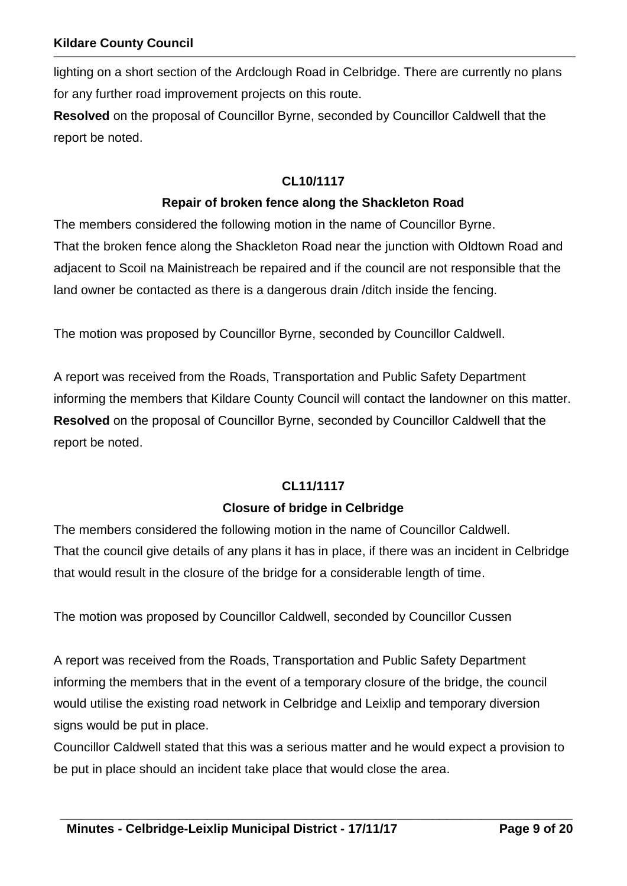lighting on a short section of the Ardclough Road in Celbridge. There are currently no plans for any further road improvement projects on this route.

**Resolved** on the proposal of Councillor Byrne, seconded by Councillor Caldwell that the report be noted.

#### **CL10/1117**

#### **Repair of broken fence along the Shackleton Road**

The members considered the following motion in the name of Councillor Byrne. That the broken fence along the Shackleton Road near the junction with Oldtown Road and adjacent to Scoil na Mainistreach be repaired and if the council are not responsible that the land owner be contacted as there is a dangerous drain /ditch inside the fencing.

The motion was proposed by Councillor Byrne, seconded by Councillor Caldwell.

A report was received from the Roads, Transportation and Public Safety Department informing the members that Kildare County Council will contact the landowner on this matter. **Resolved** on the proposal of Councillor Byrne, seconded by Councillor Caldwell that the report be noted.

#### **CL11/1117**

#### **Closure of bridge in Celbridge**

The members considered the following motion in the name of Councillor Caldwell. That the council give details of any plans it has in place, if there was an incident in Celbridge that would result in the closure of the bridge for a considerable length of time.

The motion was proposed by Councillor Caldwell, seconded by Councillor Cussen

A report was received from the Roads, Transportation and Public Safety Department informing the members that in the event of a temporary closure of the bridge, the council would utilise the existing road network in Celbridge and Leixlip and temporary diversion signs would be put in place.

Councillor Caldwell stated that this was a serious matter and he would expect a provision to be put in place should an incident take place that would close the area.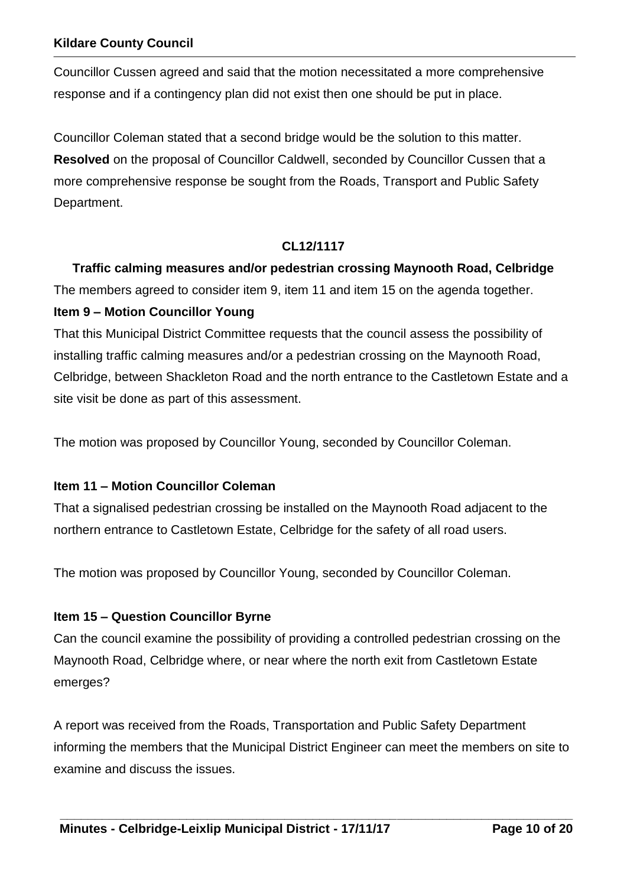Councillor Cussen agreed and said that the motion necessitated a more comprehensive response and if a contingency plan did not exist then one should be put in place.

Councillor Coleman stated that a second bridge would be the solution to this matter. **Resolved** on the proposal of Councillor Caldwell, seconded by Councillor Cussen that a more comprehensive response be sought from the Roads, Transport and Public Safety Department.

# **CL12/1117**

**Traffic calming measures and/or pedestrian crossing Maynooth Road, Celbridge**

The members agreed to consider item 9, item 11 and item 15 on the agenda together.

#### **Item 9 – Motion Councillor Young**

That this Municipal District Committee requests that the council assess the possibility of installing traffic calming measures and/or a pedestrian crossing on the Maynooth Road, Celbridge, between Shackleton Road and the north entrance to the Castletown Estate and a site visit be done as part of this assessment.

The motion was proposed by Councillor Young, seconded by Councillor Coleman.

# **Item 11 – Motion Councillor Coleman**

That a signalised pedestrian crossing be installed on the Maynooth Road adjacent to the northern entrance to Castletown Estate, Celbridge for the safety of all road users.

The motion was proposed by Councillor Young, seconded by Councillor Coleman.

#### **Item 15 – Question Councillor Byrne**

Can the council examine the possibility of providing a controlled pedestrian crossing on the Maynooth Road, Celbridge where, or near where the north exit from Castletown Estate emerges?

A report was received from the Roads, Transportation and Public Safety Department informing the members that the Municipal District Engineer can meet the members on site to examine and discuss the issues.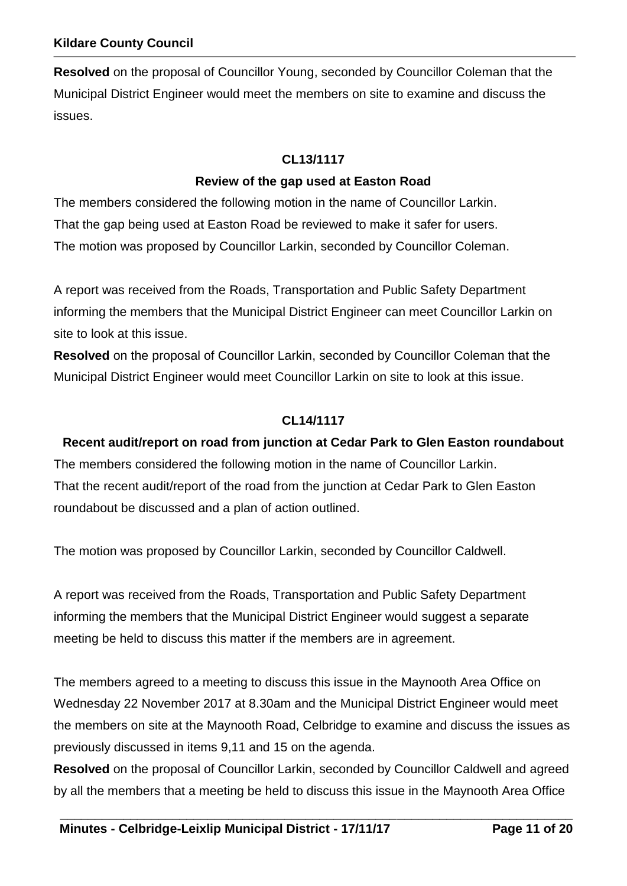**Resolved** on the proposal of Councillor Young, seconded by Councillor Coleman that the Municipal District Engineer would meet the members on site to examine and discuss the issues.

# **CL13/1117**

#### **Review of the gap used at Easton Road**

The members considered the following motion in the name of Councillor Larkin. That the gap being used at Easton Road be reviewed to make it safer for users. The motion was proposed by Councillor Larkin, seconded by Councillor Coleman.

A report was received from the Roads, Transportation and Public Safety Department informing the members that the Municipal District Engineer can meet Councillor Larkin on site to look at this issue.

**Resolved** on the proposal of Councillor Larkin, seconded by Councillor Coleman that the Municipal District Engineer would meet Councillor Larkin on site to look at this issue.

# **CL14/1117**

# **Recent audit/report on road from junction at Cedar Park to Glen Easton roundabout**

The members considered the following motion in the name of Councillor Larkin. That the recent audit/report of the road from the junction at Cedar Park to Glen Easton roundabout be discussed and a plan of action outlined.

The motion was proposed by Councillor Larkin, seconded by Councillor Caldwell.

A report was received from the Roads, Transportation and Public Safety Department informing the members that the Municipal District Engineer would suggest a separate meeting be held to discuss this matter if the members are in agreement.

The members agreed to a meeting to discuss this issue in the Maynooth Area Office on Wednesday 22 November 2017 at 8.30am and the Municipal District Engineer would meet the members on site at the Maynooth Road, Celbridge to examine and discuss the issues as previously discussed in items 9,11 and 15 on the agenda.

**Resolved** on the proposal of Councillor Larkin, seconded by Councillor Caldwell and agreed by all the members that a meeting be held to discuss this issue in the Maynooth Area Office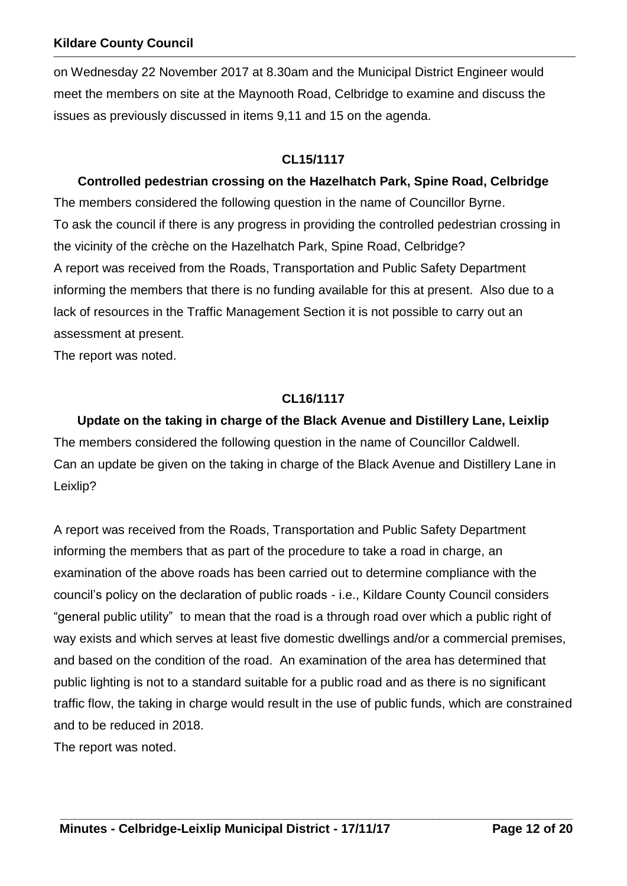on Wednesday 22 November 2017 at 8.30am and the Municipal District Engineer would meet the members on site at the Maynooth Road, Celbridge to examine and discuss the issues as previously discussed in items 9,11 and 15 on the agenda.

# **CL15/1117**

**Controlled pedestrian crossing on the Hazelhatch Park, Spine Road, Celbridge** The members considered the following question in the name of Councillor Byrne. To ask the council if there is any progress in providing the controlled pedestrian crossing in the vicinity of the crèche on the Hazelhatch Park, Spine Road, Celbridge? A report was received from the Roads, Transportation and Public Safety Department informing the members that there is no funding available for this at present. Also due to a lack of resources in the Traffic Management Section it is not possible to carry out an assessment at present.

The report was noted.

# **CL16/1117**

# **Update on the taking in charge of the Black Avenue and Distillery Lane, Leixlip** The members considered the following question in the name of Councillor Caldwell. Can an update be given on the taking in charge of the Black Avenue and Distillery Lane in Leixlip?

A report was received from the Roads, Transportation and Public Safety Department informing the members that as part of the procedure to take a road in charge, an examination of the above roads has been carried out to determine compliance with the council's policy on the declaration of public roads - i.e., Kildare County Council considers "general public utility" to mean that the road is a through road over which a public right of way exists and which serves at least five domestic dwellings and/or a commercial premises, and based on the condition of the road. An examination of the area has determined that public lighting is not to a standard suitable for a public road and as there is no significant traffic flow, the taking in charge would result in the use of public funds, which are constrained and to be reduced in 2018.

**\_\_\_\_\_\_\_\_\_\_\_\_\_\_\_\_\_\_\_\_\_\_\_\_\_\_\_\_\_\_\_\_\_\_\_\_\_\_\_\_\_\_\_\_\_\_\_\_\_\_\_\_\_\_\_\_\_\_\_\_\_\_\_\_\_\_\_\_\_\_\_\_\_** 

The report was noted.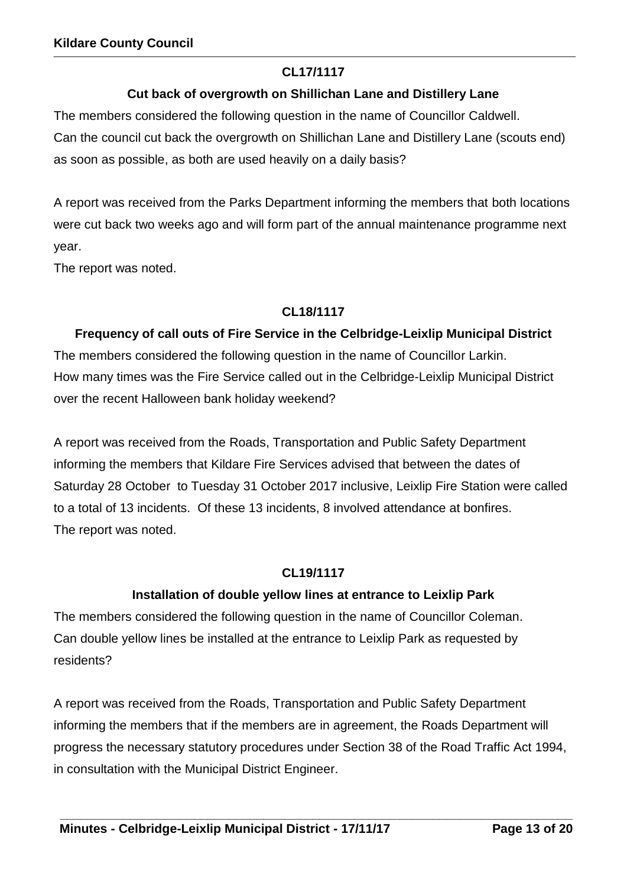# **CL17/1117**

# **Cut back of overgrowth on Shillichan Lane and Distillery Lane**

The members considered the following question in the name of Councillor Caldwell. Can the council cut back the overgrowth on Shillichan Lane and Distillery Lane (scouts end) as soon as possible, as both are used heavily on a daily basis?

A report was received from the Parks Department informing the members that both locations were cut back two weeks ago and will form part of the annual maintenance programme next year.

The report was noted.

#### **CL18/1117**

# **Frequency of call outs of Fire Service in the Celbridge-Leixlip Municipal District**

The members considered the following question in the name of Councillor Larkin. How many times was the Fire Service called out in the Celbridge-Leixlip Municipal District over the recent Halloween bank holiday weekend?

A report was received from the Roads, Transportation and Public Safety Department informing the members that Kildare Fire Services advised that between the dates of Saturday 28 October to Tuesday 31 October 2017 inclusive, Leixlip Fire Station were called to a total of 13 incidents. Of these 13 incidents, 8 involved attendance at bonfires. The report was noted.

#### **CL19/1117**

# **Installation of double yellow lines at entrance to Leixlip Park**

The members considered the following question in the name of Councillor Coleman. Can double yellow lines be installed at the entrance to Leixlip Park as requested by residents?

A report was received from the Roads, Transportation and Public Safety Department informing the members that if the members are in agreement, the Roads Department will progress the necessary statutory procedures under Section 38 of the Road Traffic Act 1994, in consultation with the Municipal District Engineer.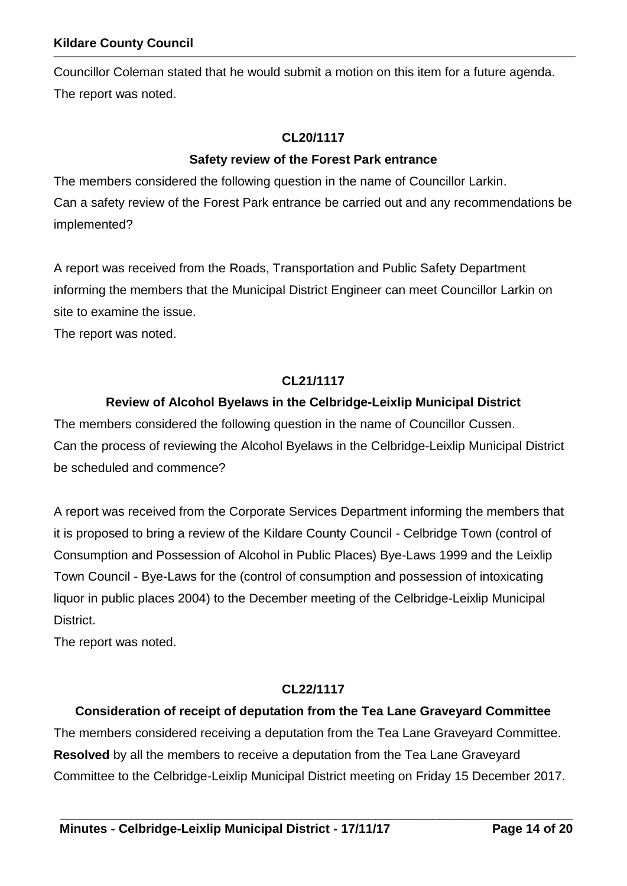Councillor Coleman stated that he would submit a motion on this item for a future agenda. The report was noted.

#### **CL20/1117**

#### **Safety review of the Forest Park entrance**

The members considered the following question in the name of Councillor Larkin. Can a safety review of the Forest Park entrance be carried out and any recommendations be implemented?

A report was received from the Roads, Transportation and Public Safety Department informing the members that the Municipal District Engineer can meet Councillor Larkin on site to examine the issue.

The report was noted.

#### **CL21/1117**

#### **Review of Alcohol Byelaws in the Celbridge-Leixlip Municipal District**

The members considered the following question in the name of Councillor Cussen. Can the process of reviewing the Alcohol Byelaws in the Celbridge-Leixlip Municipal District be scheduled and commence?

A report was received from the Corporate Services Department informing the members that it is proposed to bring a review of the Kildare County Council - Celbridge Town (control of Consumption and Possession of Alcohol in Public Places) Bye-Laws 1999 and the Leixlip Town Council - Bye-Laws for the (control of consumption and possession of intoxicating liquor in public places 2004) to the December meeting of the Celbridge-Leixlip Municipal District.

The report was noted.

#### **CL22/1117**

# **Consideration of receipt of deputation from the Tea Lane Graveyard Committee**

The members considered receiving a deputation from the Tea Lane Graveyard Committee. **Resolved** by all the members to receive a deputation from the Tea Lane Graveyard Committee to the Celbridge-Leixlip Municipal District meeting on Friday 15 December 2017.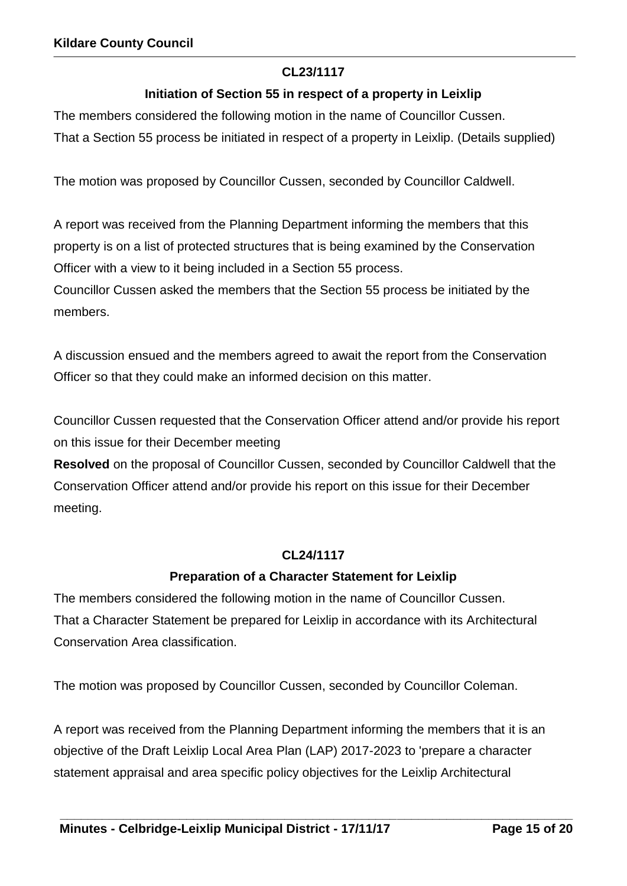# **CL23/1117**

# **Initiation of Section 55 in respect of a property in Leixlip**

The members considered the following motion in the name of Councillor Cussen. That a Section 55 process be initiated in respect of a property in Leixlip. (Details supplied)

The motion was proposed by Councillor Cussen, seconded by Councillor Caldwell.

A report was received from the Planning Department informing the members that this property is on a list of protected structures that is being examined by the Conservation Officer with a view to it being included in a Section 55 process.

Councillor Cussen asked the members that the Section 55 process be initiated by the members.

A discussion ensued and the members agreed to await the report from the Conservation Officer so that they could make an informed decision on this matter.

Councillor Cussen requested that the Conservation Officer attend and/or provide his report on this issue for their December meeting

**Resolved** on the proposal of Councillor Cussen, seconded by Councillor Caldwell that the Conservation Officer attend and/or provide his report on this issue for their December meeting.

#### **CL24/1117**

#### **Preparation of a Character Statement for Leixlip**

The members considered the following motion in the name of Councillor Cussen. That a Character Statement be prepared for Leixlip in accordance with its Architectural Conservation Area classification.

The motion was proposed by Councillor Cussen, seconded by Councillor Coleman.

A report was received from the Planning Department informing the members that it is an objective of the Draft Leixlip Local Area Plan (LAP) 2017-2023 to 'prepare a character statement appraisal and area specific policy objectives for the Leixlip Architectural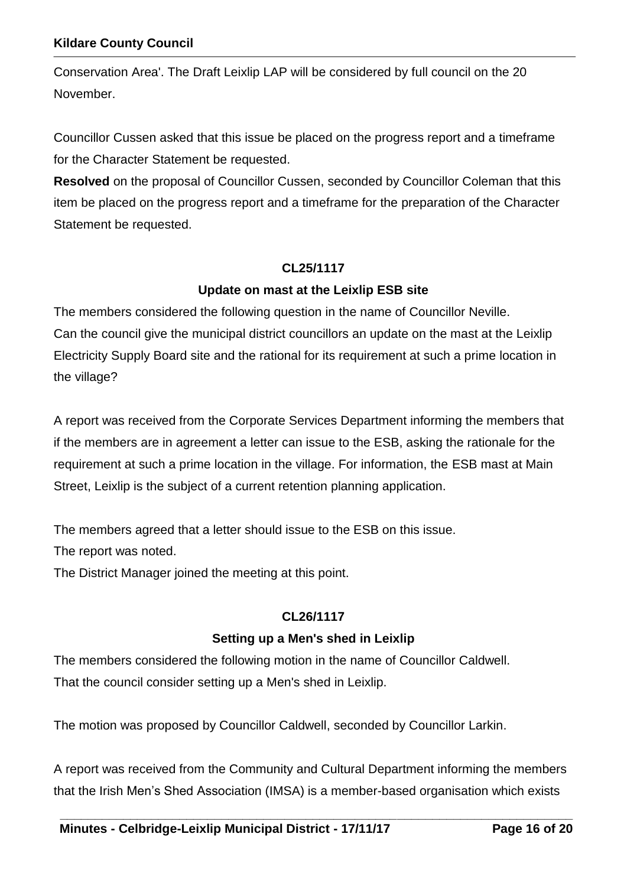Conservation Area'. The Draft Leixlip LAP will be considered by full council on the 20 November.

Councillor Cussen asked that this issue be placed on the progress report and a timeframe for the Character Statement be requested.

**Resolved** on the proposal of Councillor Cussen, seconded by Councillor Coleman that this item be placed on the progress report and a timeframe for the preparation of the Character Statement be requested.

#### **CL25/1117**

#### **Update on mast at the Leixlip ESB site**

The members considered the following question in the name of Councillor Neville. Can the council give the municipal district councillors an update on the mast at the Leixlip Electricity Supply Board site and the rational for its requirement at such a prime location in the village?

A report was received from the Corporate Services Department informing the members that if the members are in agreement a letter can issue to the ESB, asking the rationale for the requirement at such a prime location in the village. For information, the ESB mast at Main Street, Leixlip is the subject of a current retention planning application.

The members agreed that a letter should issue to the ESB on this issue.

The report was noted.

The District Manager joined the meeting at this point.

# **CL26/1117**

#### **Setting up a Men's shed in Leixlip**

The members considered the following motion in the name of Councillor Caldwell. That the council consider setting up a Men's shed in Leixlip.

The motion was proposed by Councillor Caldwell, seconded by Councillor Larkin.

A report was received from the Community and Cultural Department informing the members that the Irish Men's Shed Association (IMSA) is a member-based organisation which exists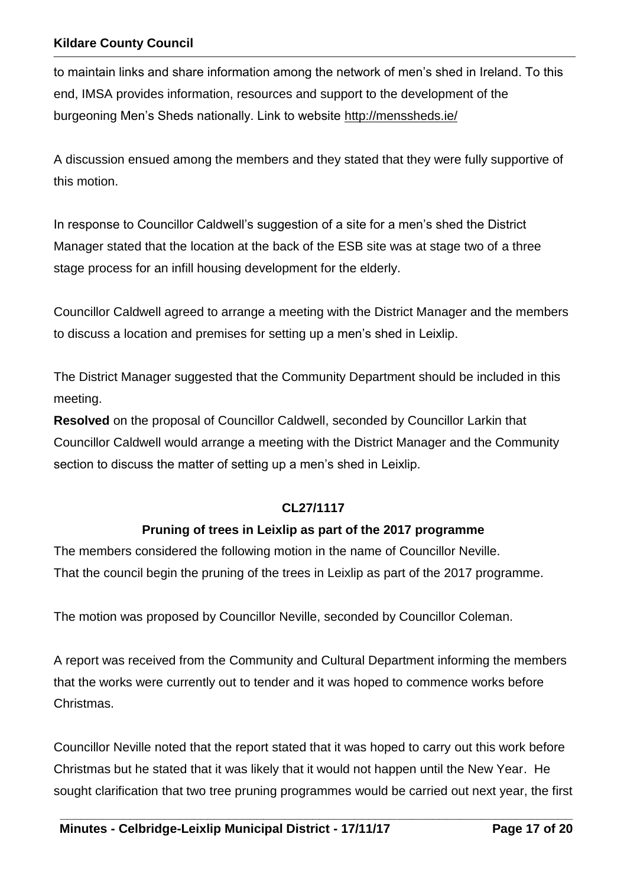to maintain links and share information among the network of men's shed in Ireland. To this end, IMSA provides information, resources and support to the development of the burgeoning Men's Sheds nationally. Link to website<http://menssheds.ie/>

A discussion ensued among the members and they stated that they were fully supportive of this motion.

In response to Councillor Caldwell's suggestion of a site for a men's shed the District Manager stated that the location at the back of the ESB site was at stage two of a three stage process for an infill housing development for the elderly.

Councillor Caldwell agreed to arrange a meeting with the District Manager and the members to discuss a location and premises for setting up a men's shed in Leixlip.

The District Manager suggested that the Community Department should be included in this meeting.

**Resolved** on the proposal of Councillor Caldwell, seconded by Councillor Larkin that Councillor Caldwell would arrange a meeting with the District Manager and the Community section to discuss the matter of setting up a men's shed in Leixlip.

# **CL27/1117**

#### **Pruning of trees in Leixlip as part of the 2017 programme**

The members considered the following motion in the name of Councillor Neville. That the council begin the pruning of the trees in Leixlip as part of the 2017 programme.

The motion was proposed by Councillor Neville, seconded by Councillor Coleman.

A report was received from the Community and Cultural Department informing the members that the works were currently out to tender and it was hoped to commence works before Christmas.

Councillor Neville noted that the report stated that it was hoped to carry out this work before Christmas but he stated that it was likely that it would not happen until the New Year. He sought clarification that two tree pruning programmes would be carried out next year, the first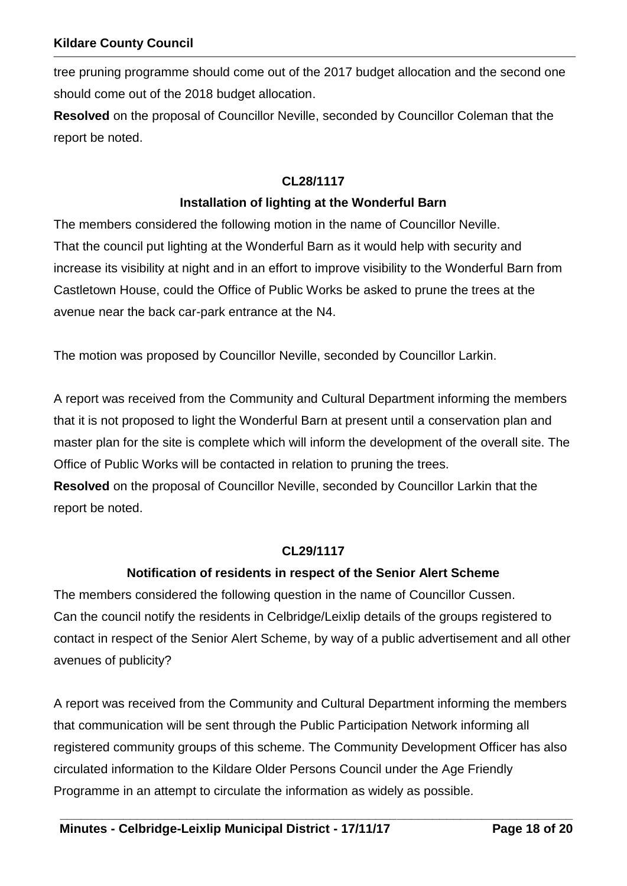tree pruning programme should come out of the 2017 budget allocation and the second one should come out of the 2018 budget allocation.

**Resolved** on the proposal of Councillor Neville, seconded by Councillor Coleman that the report be noted.

# **CL28/1117**

# **Installation of lighting at the Wonderful Barn**

The members considered the following motion in the name of Councillor Neville. That the council put lighting at the Wonderful Barn as it would help with security and increase its visibility at night and in an effort to improve visibility to the Wonderful Barn from Castletown House, could the Office of Public Works be asked to prune the trees at the avenue near the back car-park entrance at the N4.

The motion was proposed by Councillor Neville, seconded by Councillor Larkin.

A report was received from the Community and Cultural Department informing the members that it is not proposed to light the Wonderful Barn at present until a conservation plan and master plan for the site is complete which will inform the development of the overall site. The Office of Public Works will be contacted in relation to pruning the trees.

**Resolved** on the proposal of Councillor Neville, seconded by Councillor Larkin that the report be noted.

#### **CL29/1117**

#### **Notification of residents in respect of the Senior Alert Scheme**

The members considered the following question in the name of Councillor Cussen. Can the council notify the residents in Celbridge/Leixlip details of the groups registered to contact in respect of the Senior Alert Scheme, by way of a public advertisement and all other avenues of publicity?

A report was received from the Community and Cultural Department informing the members that communication will be sent through the Public Participation Network informing all registered community groups of this scheme. The Community Development Officer has also circulated information to the Kildare Older Persons Council under the Age Friendly Programme in an attempt to circulate the information as widely as possible.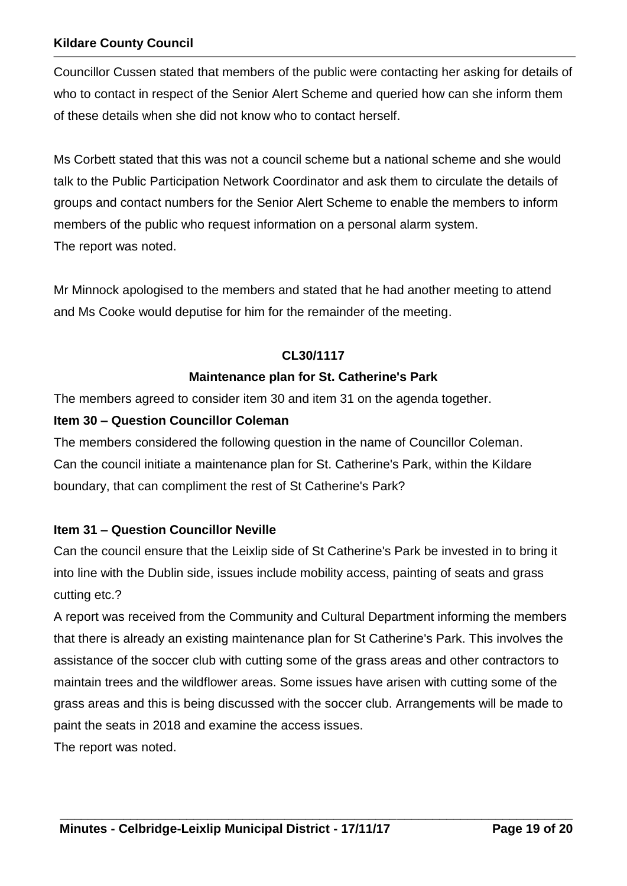Councillor Cussen stated that members of the public were contacting her asking for details of who to contact in respect of the Senior Alert Scheme and queried how can she inform them of these details when she did not know who to contact herself.

Ms Corbett stated that this was not a council scheme but a national scheme and she would talk to the Public Participation Network Coordinator and ask them to circulate the details of groups and contact numbers for the Senior Alert Scheme to enable the members to inform members of the public who request information on a personal alarm system. The report was noted.

Mr Minnock apologised to the members and stated that he had another meeting to attend and Ms Cooke would deputise for him for the remainder of the meeting.

# **CL30/1117**

# **Maintenance plan for St. Catherine's Park**

The members agreed to consider item 30 and item 31 on the agenda together.

# **Item 30 – Question Councillor Coleman**

The members considered the following question in the name of Councillor Coleman. Can the council initiate a maintenance plan for St. Catherine's Park, within the Kildare boundary, that can compliment the rest of St Catherine's Park?

# **Item 31 – Question Councillor Neville**

Can the council ensure that the Leixlip side of St Catherine's Park be invested in to bring it into line with the Dublin side, issues include mobility access, painting of seats and grass cutting etc.?

A report was received from the Community and Cultural Department informing the members that there is already an existing maintenance plan for St Catherine's Park. This involves the assistance of the soccer club with cutting some of the grass areas and other contractors to maintain trees and the wildflower areas. Some issues have arisen with cutting some of the grass areas and this is being discussed with the soccer club. Arrangements will be made to paint the seats in 2018 and examine the access issues.

**\_\_\_\_\_\_\_\_\_\_\_\_\_\_\_\_\_\_\_\_\_\_\_\_\_\_\_\_\_\_\_\_\_\_\_\_\_\_\_\_\_\_\_\_\_\_\_\_\_\_\_\_\_\_\_\_\_\_\_\_\_\_\_\_\_\_\_\_\_\_\_\_\_** 

The report was noted.